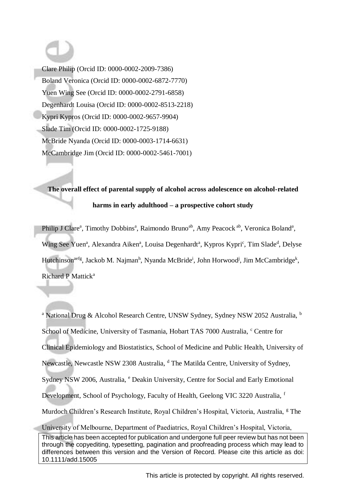Clare Philip (Orcid ID: 0000-0002-2009-7386) Boland Veronica (Orcid ID: 0000-0002-6872-7770) Yuen Wing See (Orcid ID: 0000-0002-2791-6858) Degenhardt Louisa (Orcid ID: 0000-0002-8513-2218) Kypri Kypros (Orcid ID: 0000-0002-9657-9904) Slade Tim (Orcid ID: 0000-0002-1725-9188) McBride Nyanda (Orcid ID: 0000-0003-1714-6631) McCambridge Jim (Orcid ID: 0000-0002-5461-7001)

# **The overall effect of parental supply of alcohol across adolescence on alcohol-related harms in early adulthood – a prospective cohort study**

Philip J Clare<sup>a</sup>, Timothy Dobbins<sup>a</sup>, Raimondo Bruno<sup>ab</sup>, Amy Peacock ab, Veronica Boland<sup>a</sup>, Wing See Yuen<sup>a</sup>, Alexandra Aiken<sup>a</sup>, Louisa Degenhardt<sup>a</sup>, Kypros Kypri<sup>c</sup>, Tim Slade<sup>d</sup>, Delyse Hutchinson<sup>aefg</sup>, Jackob M. Najman<sup>h</sup>, Nyanda McBride<sup>i</sup>, John Horwood<sup>j</sup>, Jim McCambridge<sup>k</sup>, Richard P Mattick<sup>a</sup>

<sup>a</sup> National Drug & Alcohol Research Centre, UNSW Sydney, Sydney NSW 2052 Australia, <sup>b</sup> School of Medicine, University of Tasmania, Hobart TAS 7000 Australia, <sup>c</sup> Centre for Clinical Epidemiology and Biostatistics, School of Medicine and Public Health, University of Newcastle, Newcastle NSW 2308 Australia, <sup>d</sup> The Matilda Centre, University of Sydney, Sydney NSW 2006, Australia, <sup>e</sup> Deakin University, Centre for Social and Early Emotional Development, School of Psychology, Faculty of Health, Geelong VIC 3220 Australia, <sup>f</sup> Murdoch Children's Research Institute, Royal Children's Hospital, Victoria, Australia, <sup>g</sup> The

University of Melbourne, Department of Paediatrics, Royal Children's Hospital, Victoria,

This article has been accepted for publication and undergone full peer review but has not been through the copyediting, typesetting, pagination and proofreading process which may lead to differences between this version and the Version of Record. Please cite this article as doi: 10.1111/add.15005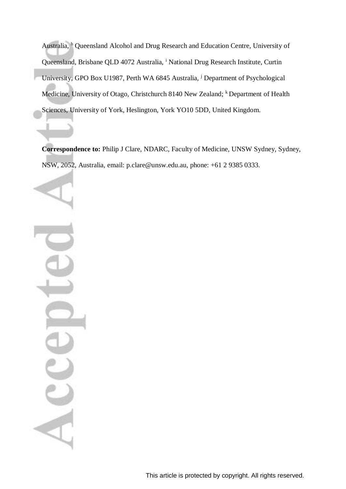Australia, <sup>h</sup> Queensland Alcohol and Drug Research and Education Centre, University of Queensland, Brisbane QLD 4072 Australia, <sup>i</sup> National Drug Research Institute, Curtin University, GPO Box U1987, Perth WA 6845 Australia, <sup>j</sup> Department of Psychological Medicine, University of Otago, Christchurch 8140 New Zealand; <sup>k</sup>Department of Health Sciences, University of York, Heslington, York YO10 5DD, United Kingdom.

**Correspondence to:** Philip J Clare, NDARC, Faculty of Medicine, UNSW Sydney, Sydney, NSW, 2052, Australia, email: p.clare@unsw.edu.au, phone: +61 2 9385 0333.

Acc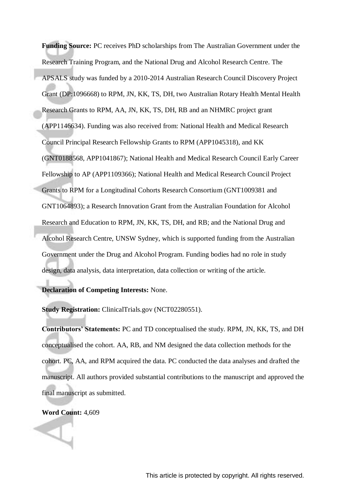**Funding Source:** PC receives PhD scholarships from The Australian Government under the Research Training Program, and the National Drug and Alcohol Research Centre. The APSALS study was funded by a 2010-2014 Australian Research Council Discovery Project Grant (DP:1096668) to RPM, JN, KK, TS, DH, two Australian Rotary Health Mental Health Research Grants to RPM, AA, JN, KK, TS, DH, RB and an NHMRC project grant (APP1146634). Funding was also received from: National Health and Medical Research Council Principal Research Fellowship Grants to RPM (APP1045318), and KK (GNT0188568, APP1041867); National Health and Medical Research Council Early Career Fellowship to AP (APP1109366); National Health and Medical Research Council Project Grants to RPM for a Longitudinal Cohorts Research Consortium (GNT1009381 and GNT1064893); a Research Innovation Grant from the Australian Foundation for Alcohol Research and Education to RPM, JN, KK, TS, DH, and RB; and the National Drug and Alcohol Research Centre, UNSW Sydney, which is supported funding from the Australian Government under the Drug and Alcohol Program. Funding bodies had no role in study design, data analysis, data interpretation, data collection or writing of the article.

# **Declaration of Competing Interests:** None.

**Study Registration:** ClinicalTrials.gov (NCT02280551).

**Contributors' Statements:** PC and TD conceptualised the study. RPM, JN, KK, TS, and DH conceptualised the cohort. AA, RB, and NM designed the data collection methods for the cohort. PC, AA, and RPM acquired the data. PC conducted the data analyses and drafted the manuscript. All authors provided substantial contributions to the manuscript and approved the final manuscript as submitted.

# **Word Count:** 4,609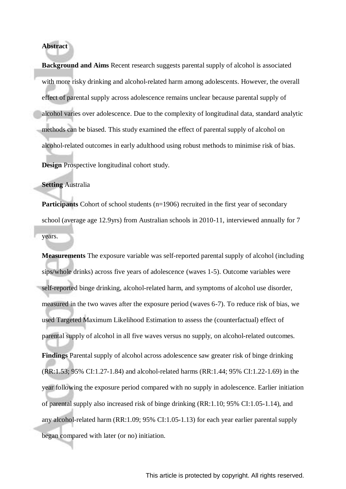**Abstract**

**Background and Aims** Recent research suggests parental supply of alcohol is associated with more risky drinking and alcohol-related harm among adolescents. However, the overall effect of parental supply across adolescence remains unclear because parental supply of alcohol varies over adolescence. Due to the complexity of longitudinal data, standard analytic methods can be biased. This study examined the effect of parental supply of alcohol on alcohol-related outcomes in early adulthood using robust methods to minimise risk of bias. **Design** Prospective longitudinal cohort study.

**Setting** Australia

**Participants** Cohort of school students (n=1906) recruited in the first year of secondary school (average age 12.9yrs) from Australian schools in 2010-11, interviewed annually for 7 years.

**Measurements** The exposure variable was self-reported parental supply of alcohol (including sips/whole drinks) across five years of adolescence (waves 1-5). Outcome variables were self-reported binge drinking, alcohol-related harm, and symptoms of alcohol use disorder, measured in the two waves after the exposure period (waves 6-7). To reduce risk of bias, we used Targeted Maximum Likelihood Estimation to assess the (counterfactual) effect of parental supply of alcohol in all five waves versus no supply, on alcohol-related outcomes. **Findings** Parental supply of alcohol across adolescence saw greater risk of binge drinking (RR:1.53; 95% CI:1.27-1.84) and alcohol-related harms (RR:1.44; 95% CI:1.22-1.69) in the year following the exposure period compared with no supply in adolescence. Earlier initiation of parental supply also increased risk of binge drinking (RR:1.10; 95% CI:1.05-1.14), and any alcohol-related harm (RR:1.09; 95% CI:1.05-1.13) for each year earlier parental supply began compared with later (or no) initiation.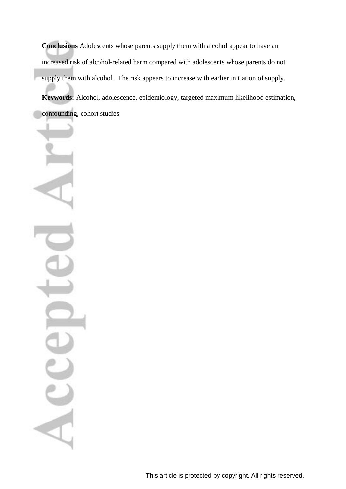**Conclusions** Adolescents whose parents supply them with alcohol appear to have an increased risk of alcohol-related harm compared with adolescents whose parents do not supply them with alcohol. The risk appears to increase with earlier initiation of supply. **Keywords:** Alcohol, adolescence, epidemiology, targeted maximum likelihood estimation, confounding, cohort studies

Acc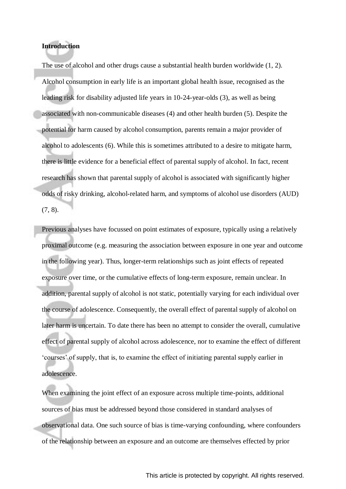# **Introduction**

The use of alcohol and other drugs cause a substantial health burden worldwide (1, 2). Alcohol consumption in early life is an important global health issue, recognised as the leading risk for disability adjusted life years in 10-24-year-olds (3), as well as being associated with non-communicable diseases (4) and other health burden (5). Despite the potential for harm caused by alcohol consumption, parents remain a major provider of alcohol to adolescents (6). While this is sometimes attributed to a desire to mitigate harm, there is little evidence for a beneficial effect of parental supply of alcohol. In fact, recent research has shown that parental supply of alcohol is associated with significantly higher odds of risky drinking, alcohol-related harm, and symptoms of alcohol use disorders (AUD) (7, 8).

Previous analyses have focussed on point estimates of exposure, typically using a relatively proximal outcome (e.g. measuring the association between exposure in one year and outcome in the following year). Thus, longer-term relationships such as joint effects of repeated exposure over time, or the cumulative effects of long-term exposure, remain unclear. In addition, parental supply of alcohol is not static, potentially varying for each individual over the course of adolescence. Consequently, the overall effect of parental supply of alcohol on later harm is uncertain. To date there has been no attempt to consider the overall, cumulative effect of parental supply of alcohol across adolescence, nor to examine the effect of different 'courses' of supply, that is, to examine the effect of initiating parental supply earlier in adolescence.

When examining the joint effect of an exposure across multiple time-points, additional sources of bias must be addressed beyond those considered in standard analyses of observational data. One such source of bias is time-varying confounding, where confounders of the relationship between an exposure and an outcome are themselves effected by prior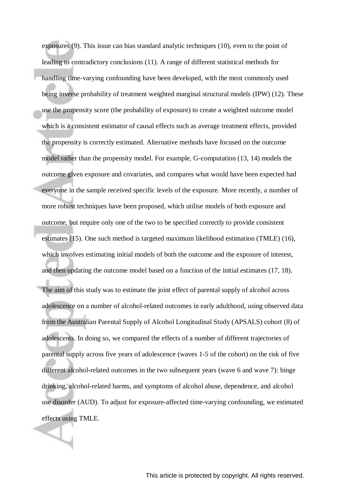exposures (9). This issue can bias standard analytic techniques (10), even to the point of leading to contradictory conclusions (11). A range of different statistical methods for handling time-varying confounding have been developed, with the most commonly used being inverse probability of treatment weighted marginal structural models (IPW) (12). These use the propensity score (the probability of exposure) to create a weighted outcome model which is a consistent estimator of causal effects such as average treatment effects, provided the propensity is correctly estimated. Alternative methods have focused on the outcome model rather than the propensity model. For example, G-computation (13, 14) models the outcome given exposure and covariates, and compares what would have been expected had everyone in the sample received specific levels of the exposure. More recently, a number of more robust techniques have been proposed, which utilise models of both exposure and outcome, but require only one of the two to be specified correctly to provide consistent estimates (15). One such method is targeted maximum likelihood estimation (TMLE) (16), which involves estimating initial models of both the outcome and the exposure of interest, and then updating the outcome model based on a function of the initial estimates (17, 18).

The aim of this study was to estimate the joint effect of parental supply of alcohol across adolescence on a number of alcohol-related outcomes in early adulthood, using observed data from the Australian Parental Supply of Alcohol Longitudinal Study (APSALS) cohort (8) of adolescents. In doing so, we compared the effects of a number of different trajectories of parental supply across five years of adolescence (waves 1-5 of the cohort) on the risk of five different alcohol-related outcomes in the two subsequent years (wave 6 and wave 7): binge drinking, alcohol-related harms, and symptoms of alcohol abuse, dependence, and alcohol use disorder (AUD). To adjust for exposure-affected time-varying confounding, we estimated effects using TMLE.

 $\mathcal{A}_{\mathcal{A}}$ 

a <sub>ma</sub>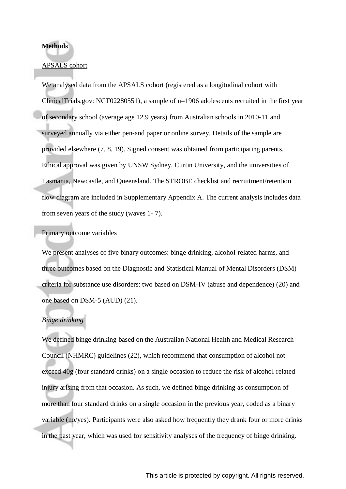# **Methods**

# APSALS cohort

We analysed data from the APSALS cohort (registered as a longitudinal cohort with ClinicalTrials.gov: NCT02280551), a sample of n=1906 adolescents recruited in the first year of secondary school (average age 12.9 years) from Australian schools in 2010-11 and surveyed annually via either pen-and paper or online survey. Details of the sample are provided elsewhere (7, 8, 19). Signed consent was obtained from participating parents. Ethical approval was given by UNSW Sydney, Curtin University, and the universities of Tasmania, Newcastle, and Queensland. The STROBE checklist and recruitment/retention flow diagram are included in Supplementary Appendix A. The current analysis includes data from seven years of the study (waves 1- 7).

# Primary outcome variables

We present analyses of five binary outcomes: binge drinking, alcohol-related harms, and three outcomes based on the Diagnostic and Statistical Manual of Mental Disorders (DSM) criteria for substance use disorders: two based on DSM-IV (abuse and dependence) (20) and one based on DSM-5 (AUD) (21).

# *Binge drinking*

We defined binge drinking based on the Australian National Health and Medical Research Council (NHMRC) guidelines (22), which recommend that consumption of alcohol not exceed 40g (four standard drinks) on a single occasion to reduce the risk of alcohol-related injury arising from that occasion. As such, we defined binge drinking as consumption of more than four standard drinks on a single occasion in the previous year, coded as a binary variable (no/yes). Participants were also asked how frequently they drank four or more drinks in the past year, which was used for sensitivity analyses of the frequency of binge drinking.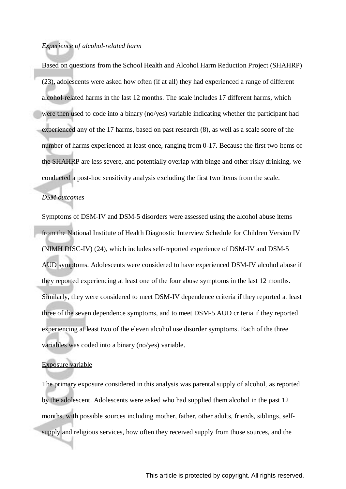# *Experience of alcohol-related harm*

Based on questions from the School Health and Alcohol Harm Reduction Project (SHAHRP) (23), adolescents were asked how often (if at all) they had experienced a range of different alcohol-related harms in the last 12 months. The scale includes 17 different harms, which were then used to code into a binary (no/yes) variable indicating whether the participant had experienced any of the 17 harms, based on past research (8), as well as a scale score of the number of harms experienced at least once, ranging from 0-17. Because the first two items of the SHAHRP are less severe, and potentially overlap with binge and other risky drinking, we conducted a post-hoc sensitivity analysis excluding the first two items from the scale.

### *DSM outcomes*

Symptoms of DSM-IV and DSM-5 disorders were assessed using the alcohol abuse items from the National Institute of Health Diagnostic Interview Schedule for Children Version IV (NIMH DISC-IV) (24), which includes self-reported experience of DSM-IV and DSM-5 AUD symptoms. Adolescents were considered to have experienced DSM-IV alcohol abuse if they reported experiencing at least one of the four abuse symptoms in the last 12 months. Similarly, they were considered to meet DSM-IV dependence criteria if they reported at least three of the seven dependence symptoms, and to meet DSM-5 AUD criteria if they reported experiencing at least two of the eleven alcohol use disorder symptoms. Each of the three variables was coded into a binary (no/yes) variable.

# Exposure variable

The primary exposure considered in this analysis was parental supply of alcohol, as reported by the adolescent. Adolescents were asked who had supplied them alcohol in the past 12 months, with possible sources including mother, father, other adults, friends, siblings, selfsupply and religious services, how often they received supply from those sources, and the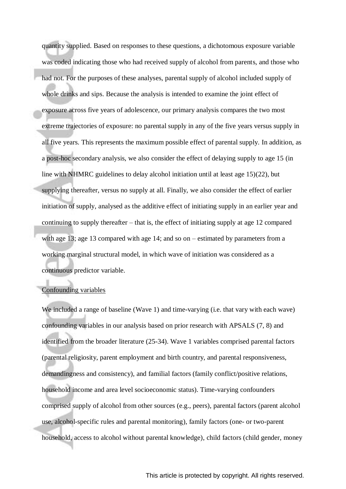quantity supplied. Based on responses to these questions, a dichotomous exposure variable was coded indicating those who had received supply of alcohol from parents, and those who had not. For the purposes of these analyses, parental supply of alcohol included supply of whole drinks and sips. Because the analysis is intended to examine the joint effect of exposure across five years of adolescence, our primary analysis compares the two most extreme trajectories of exposure: no parental supply in any of the five years versus supply in all five years. This represents the maximum possible effect of parental supply. In addition, as a post-hoc secondary analysis, we also consider the effect of delaying supply to age 15 (in line with NHMRC guidelines to delay alcohol initiation until at least age 15)(22), but supplying thereafter, versus no supply at all. Finally, we also consider the effect of earlier initiation of supply, analysed as the additive effect of initiating supply in an earlier year and continuing to supply thereafter – that is, the effect of initiating supply at age 12 compared with age 13; age 13 compared with age 14; and so on – estimated by parameters from a working marginal structural model, in which wave of initiation was considered as a continuous predictor variable.

# Confounding variables

We included a range of baseline (Wave 1) and time-varying (i.e. that vary with each wave) confounding variables in our analysis based on prior research with APSALS (7, 8) and identified from the broader literature (25-34). Wave 1 variables comprised parental factors (parental religiosity, parent employment and birth country, and parental responsiveness, demandingness and consistency), and familial factors (family conflict/positive relations, household income and area level socioeconomic status). Time-varying confounders comprised supply of alcohol from other sources (e.g., peers), parental factors (parent alcohol use, alcohol-specific rules and parental monitoring), family factors (one- or two-parent household, access to alcohol without parental knowledge), child factors (child gender, money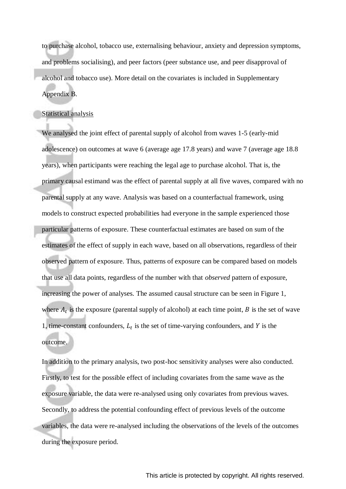to purchase alcohol, tobacco use, externalising behaviour, anxiety and depression symptoms, and problems socialising), and peer factors (peer substance use, and peer disapproval of alcohol and tobacco use). More detail on the covariates is included in Supplementary Appendix B.

# Statistical analysis

We analysed the joint effect of parental supply of alcohol from waves 1-5 (early-mid adolescence) on outcomes at wave 6 (average age 17.8 years) and wave 7 (average age 18.8 years), when participants were reaching the legal age to purchase alcohol. That is, the primary causal estimand was the effect of parental supply at all five waves, compared with no parental supply at any wave. Analysis was based on a counterfactual framework, using models to construct expected probabilities had everyone in the sample experienced those particular patterns of exposure. These counterfactual estimates are based on sum of the estimates of the effect of supply in each wave, based on all observations, regardless of their observed pattern of exposure. Thus, patterns of exposure can be compared based on models that use all data points, regardless of the number with that *observed* pattern of exposure, increasing the power of analyses. The assumed causal structure can be seen in Figure 1, where  $A_t$  is the exposure (parental supply of alcohol) at each time point, B is the set of wave 1, time-constant confounders,  $L_t$  is the set of time-varying confounders, and Y is the outcome.

In addition to the primary analysis, two post-hoc sensitivity analyses were also conducted. Firstly, to test for the possible effect of including covariates from the same wave as the exposure variable, the data were re-analysed using only covariates from previous waves. Secondly, to address the potential confounding effect of previous levels of the outcome variables, the data were re-analysed including the observations of the levels of the outcomes during the exposure period.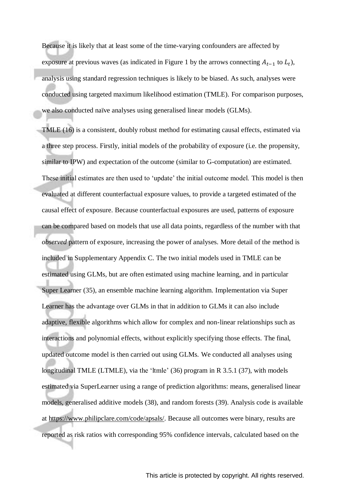Because it is likely that at least some of the time-varying confounders are affected by exposure at previous waves (as indicated in Figure 1 by the arrows connecting  $A_{t-1}$  to  $L_t$ ), analysis using standard regression techniques is likely to be biased. As such, analyses were conducted using targeted maximum likelihood estimation (TMLE). For comparison purposes, we also conducted naïve analyses using generalised linear models (GLMs).

TMLE (16) is a consistent, doubly robust method for estimating causal effects, estimated via a three step process. Firstly, initial models of the probability of exposure (i.e. the propensity, similar to IPW) and expectation of the outcome (similar to G-computation) are estimated. These initial estimates are then used to 'update' the initial outcome model. This model is then evaluated at different counterfactual exposure values, to provide a targeted estimated of the causal effect of exposure. Because counterfactual exposures are used, patterns of exposure can be compared based on models that use all data points, regardless of the number with that *observed* pattern of exposure, increasing the power of analyses. More detail of the method is included in Supplementary Appendix C. The two initial models used in TMLE can be estimated using GLMs, but are often estimated using machine learning, and in particular Super Learner (35), an ensemble machine learning algorithm. Implementation via Super Learner has the advantage over GLMs in that in addition to GLMs it can also include adaptive, flexible algorithms which allow for complex and non-linear relationships such as interactions and polynomial effects, without explicitly specifying those effects. The final, updated outcome model is then carried out using GLMs. We conducted all analyses using longitudinal TMLE (LTMLE), via the 'ltmle' (36) program in R 3.5.1 (37), with models estimated via SuperLearner using a range of prediction algorithms: means, generalised linear models, generalised additive models (38), and random forests (39). Analysis code is available at [https://www.philipclare.com/code/apsals/.](https://www.philipclare.com/code/apsals/) Because all outcomes were binary, results are reported as risk ratios with corresponding 95% confidence intervals, calculated based on the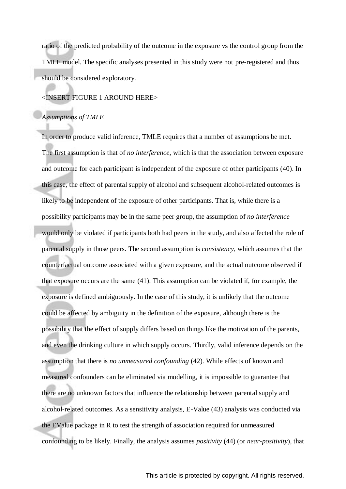ratio of the predicted probability of the outcome in the exposure vs the control group from the TMLE model. The specific analyses presented in this study were not pre-registered and thus should be considered exploratory.

# <INSERT FIGURE 1 AROUND HERE>

# *Assumptions of TMLE*

In order to produce valid inference, TMLE requires that a number of assumptions be met. The first assumption is that of *no interference*, which is that the association between exposure and outcome for each participant is independent of the exposure of other participants (40). In this case, the effect of parental supply of alcohol and subsequent alcohol-related outcomes is likely to be independent of the exposure of other participants. That is, while there is a possibility participants may be in the same peer group, the assumption of *no interference* would only be violated if participants both had peers in the study, and also affected the role of parental supply in those peers. The second assumption is *consistency*, which assumes that the counterfactual outcome associated with a given exposure, and the actual outcome observed if that exposure occurs are the same (41). This assumption can be violated if, for example, the exposure is defined ambiguously. In the case of this study, it is unlikely that the outcome could be affected by ambiguity in the definition of the exposure, although there is the possibility that the effect of supply differs based on things like the motivation of the parents, and even the drinking culture in which supply occurs. Thirdly, valid inference depends on the assumption that there is *no unmeasured confounding* (42). While effects of known and measured confounders can be eliminated via modelling, it is impossible to guarantee that there are no unknown factors that influence the relationship between parental supply and alcohol-related outcomes. As a sensitivity analysis, E-Value (43) analysis was conducted via the EValue package in R to test the strength of association required for unmeasured confounding to be likely. Finally, the analysis assumes *positivity* (44) (or *near-positivity*), that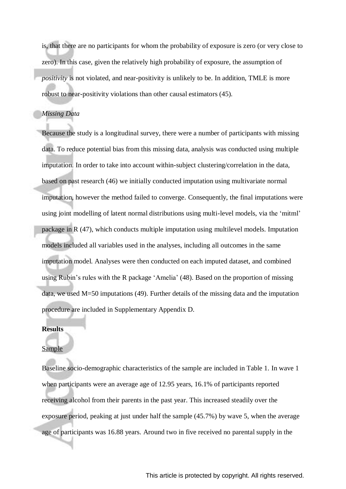is, that there are no participants for whom the probability of exposure is zero (or very close to zero). In this case, given the relatively high probability of exposure, the assumption of *positivity* is not violated, and near-positivity is unlikely to be. In addition, TMLE is more robust to near-positivity violations than other causal estimators (45).

# *Missing Data*

Because the study is a longitudinal survey, there were a number of participants with missing data. To reduce potential bias from this missing data, analysis was conducted using multiple imputation. In order to take into account within-subject clustering/correlation in the data, based on past research (46) we initially conducted imputation using multivariate normal imputation, however the method failed to converge. Consequently, the final imputations were using joint modelling of latent normal distributions using multi-level models, via the 'mitml' package in R (47), which conducts multiple imputation using multilevel models. Imputation models included all variables used in the analyses, including all outcomes in the same imputation model. Analyses were then conducted on each imputed dataset, and combined using Rubin's rules with the R package 'Amelia' (48). Based on the proportion of missing data, we used M=50 imputations (49). Further details of the missing data and the imputation procedure are included in Supplementary Appendix D.

### **Results**

#### Sample

Baseline socio-demographic characteristics of the sample are included in Table 1. In wave 1 when participants were an average age of 12.95 years, 16.1% of participants reported receiving alcohol from their parents in the past year. This increased steadily over the exposure period, peaking at just under half the sample (45.7%) by wave 5, when the average age of participants was 16.88 years. Around two in five received no parental supply in the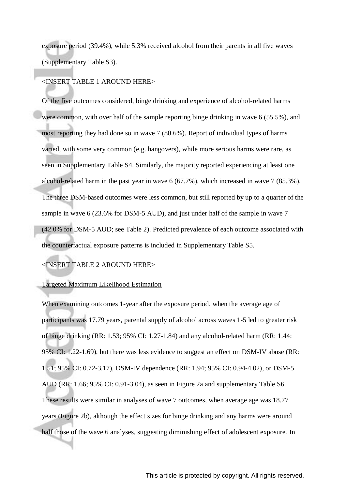exposure period (39.4%), while 5.3% received alcohol from their parents in all five waves (Supplementary Table S3).

# <INSERT TABLE 1 AROUND HERE>

Of the five outcomes considered, binge drinking and experience of alcohol-related harms were common, with over half of the sample reporting binge drinking in wave 6 (55.5%), and most reporting they had done so in wave 7 (80.6%). Report of individual types of harms varied, with some very common (e.g. hangovers), while more serious harms were rare, as seen in Supplementary Table S4. Similarly, the majority reported experiencing at least one alcohol-related harm in the past year in wave 6 (67.7%), which increased in wave 7 (85.3%). The three DSM-based outcomes were less common, but still reported by up to a quarter of the sample in wave 6 (23.6% for DSM-5 AUD), and just under half of the sample in wave 7 (42.0% for DSM-5 AUD; see Table 2). Predicted prevalence of each outcome associated with the counterfactual exposure patterns is included in Supplementary Table S5.

# <INSERT TABLE 2 AROUND HERE>

# Targeted Maximum Likelihood Estimation

When examining outcomes 1-year after the exposure period, when the average age of participants was 17.79 years, parental supply of alcohol across waves 1-5 led to greater risk of binge drinking (RR: 1.53; 95% CI: 1.27-1.84) and any alcohol-related harm (RR: 1.44; 95% CI: 1.22-1.69), but there was less evidence to suggest an effect on DSM-IV abuse (RR: 1.51; 95% CI: 0.72-3.17), DSM-IV dependence (RR: 1.94; 95% CI: 0.94-4.02), or DSM-5 AUD (RR: 1.66; 95% CI: 0.91-3.04), as seen in Figure 2a and supplementary Table S6. These results were similar in analyses of wave 7 outcomes, when average age was 18.77 years (Figure 2b), although the effect sizes for binge drinking and any harms were around half those of the wave 6 analyses, suggesting diminishing effect of adolescent exposure. In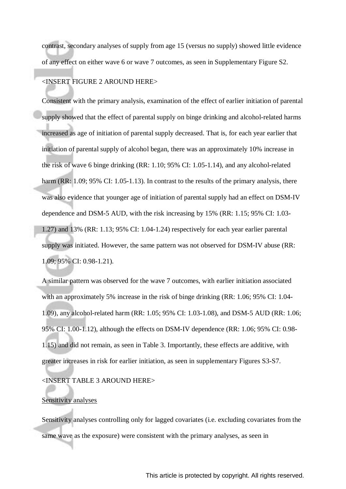contrast, secondary analyses of supply from age 15 (versus no supply) showed little evidence of any effect on either wave 6 or wave 7 outcomes, as seen in Supplementary Figure S2.

# <INSERT FIGURE 2 AROUND HERE>

Consistent with the primary analysis, examination of the effect of earlier initiation of parental supply showed that the effect of parental supply on binge drinking and alcohol-related harms increased as age of initiation of parental supply decreased. That is, for each year earlier that initiation of parental supply of alcohol began, there was an approximately 10% increase in the risk of wave 6 binge drinking (RR: 1.10; 95% CI: 1.05-1.14), and any alcohol-related harm (RR: 1.09; 95% CI: 1.05-1.13). In contrast to the results of the primary analysis, there was also evidence that younger age of initiation of parental supply had an effect on DSM-IV dependence and DSM-5 AUD, with the risk increasing by 15% (RR: 1.15; 95% CI: 1.03- 1.27) and 13% (RR: 1.13; 95% CI: 1.04-1.24) respectively for each year earlier parental supply was initiated. However, the same pattern was not observed for DSM-IV abuse (RR: 1.09; 95% CI: 0.98-1.21).

A similar pattern was observed for the wave 7 outcomes, with earlier initiation associated with an approximately 5% increase in the risk of binge drinking (RR: 1.06; 95% CI: 1.04-1.09), any alcohol-related harm (RR: 1.05; 95% CI: 1.03-1.08), and DSM-5 AUD (RR: 1.06; 95% CI: 1.00-1.12), although the effects on DSM-IV dependence (RR: 1.06; 95% CI: 0.98- 1.15) and did not remain, as seen in Table 3. Importantly, these effects are additive, with greater increases in risk for earlier initiation, as seen in supplementary Figures S3-S7.

# <INSERT TABLE 3 AROUND HERE>

# Sensitivity analyses

Sensitivity analyses controlling only for lagged covariates (i.e. excluding covariates from the same wave as the exposure) were consistent with the primary analyses, as seen in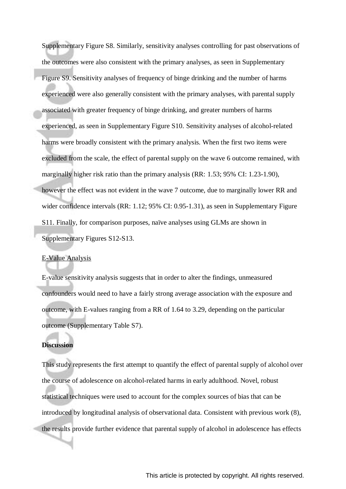Supplementary Figure S8. Similarly, sensitivity analyses controlling for past observations of the outcomes were also consistent with the primary analyses, as seen in Supplementary Figure S9. Sensitivity analyses of frequency of binge drinking and the number of harms experienced were also generally consistent with the primary analyses, with parental supply associated with greater frequency of binge drinking, and greater numbers of harms experienced, as seen in Supplementary Figure S10. Sensitivity analyses of alcohol-related harms were broadly consistent with the primary analysis. When the first two items were excluded from the scale, the effect of parental supply on the wave 6 outcome remained, with marginally higher risk ratio than the primary analysis (RR: 1.53; 95% CI: 1.23-1.90), however the effect was not evident in the wave 7 outcome, due to marginally lower RR and wider confidence intervals (RR: 1.12; 95% CI: 0.95-1.31), as seen in Supplementary Figure S11. Finally, for comparison purposes, naïve analyses using GLMs are shown in Supplementary Figures S12-S13.

# E-Value Analysis

E-value sensitivity analysis suggests that in order to alter the findings, unmeasured confounders would need to have a fairly strong average association with the exposure and outcome, with E-values ranging from a RR of 1.64 to 3.29, depending on the particular outcome (Supplementary Table S7).

# **Discussion**

This study represents the first attempt to quantify the effect of parental supply of alcohol over the course of adolescence on alcohol-related harms in early adulthood. Novel, robust statistical techniques were used to account for the complex sources of bias that can be introduced by longitudinal analysis of observational data. Consistent with previous work (8), the results provide further evidence that parental supply of alcohol in adolescence has effects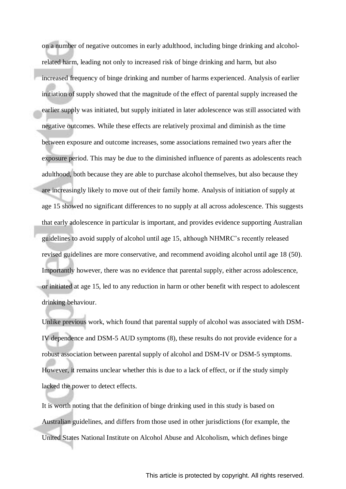on a number of negative outcomes in early adulthood, including binge drinking and alcoholrelated harm, leading not only to increased risk of binge drinking and harm, but also increased frequency of binge drinking and number of harms experienced. Analysis of earlier initiation of supply showed that the magnitude of the effect of parental supply increased the earlier supply was initiated, but supply initiated in later adolescence was still associated with negative outcomes. While these effects are relatively proximal and diminish as the time between exposure and outcome increases, some associations remained two years after the exposure period. This may be due to the diminished influence of parents as adolescents reach adulthood, both because they are able to purchase alcohol themselves, but also because they are increasingly likely to move out of their family home. Analysis of initiation of supply at age 15 showed no significant differences to no supply at all across adolescence. This suggests that early adolescence in particular is important, and provides evidence supporting Australian guidelines to avoid supply of alcohol until age 15, although NHMRC's recently released revised guidelines are more conservative, and recommend avoiding alcohol until age 18 (50). Importantly however, there was no evidence that parental supply, either across adolescence, or initiated at age 15, led to any reduction in harm or other benefit with respect to adolescent drinking behaviour.

Unlike previous work, which found that parental supply of alcohol was associated with DSM-IV dependence and DSM-5 AUD symptoms (8), these results do not provide evidence for a robust association between parental supply of alcohol and DSM-IV or DSM-5 symptoms. However, it remains unclear whether this is due to a lack of effect, or if the study simply lacked the power to detect effects.

It is worth noting that the definition of binge drinking used in this study is based on Australian guidelines, and differs from those used in other jurisdictions (for example, the United States National Institute on Alcohol Abuse and Alcoholism, which defines binge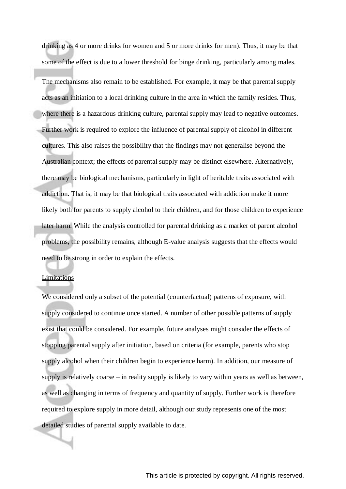drinking as 4 or more drinks for women and 5 or more drinks for men). Thus, it may be that some of the effect is due to a lower threshold for binge drinking, particularly among males. The mechanisms also remain to be established. For example, it may be that parental supply acts as an initiation to a local drinking culture in the area in which the family resides. Thus, where there is a hazardous drinking culture, parental supply may lead to negative outcomes. Further work is required to explore the influence of parental supply of alcohol in different cultures. This also raises the possibility that the findings may not generalise beyond the Australian context; the effects of parental supply may be distinct elsewhere. Alternatively, there may be biological mechanisms, particularly in light of heritable traits associated with addiction. That is, it may be that biological traits associated with addiction make it more likely both for parents to supply alcohol to their children, and for those children to experience later harm. While the analysis controlled for parental drinking as a marker of parent alcohol problems, the possibility remains, although E-value analysis suggests that the effects would need to be strong in order to explain the effects.

# Limitations

We considered only a subset of the potential (counterfactual) patterns of exposure, with supply considered to continue once started. A number of other possible patterns of supply exist that could be considered. For example, future analyses might consider the effects of stopping parental supply after initiation, based on criteria (for example, parents who stop supply alcohol when their children begin to experience harm). In addition, our measure of supply is relatively coarse – in reality supply is likely to vary within years as well as between, as well as changing in terms of frequency and quantity of supply. Further work is therefore required to explore supply in more detail, although our study represents one of the most detailed studies of parental supply available to date.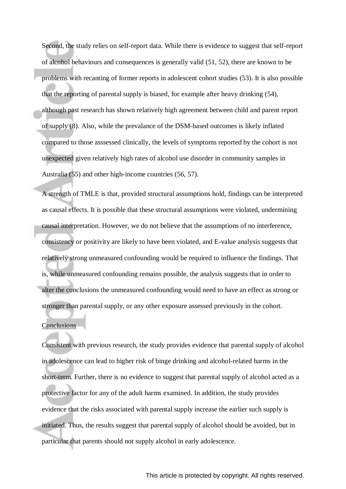Second, the study relies on self-report data. While there is evidence to suggest that self-report of alcohol behaviours and consequences is generally valid (51, 52), there are known to be problems with recanting of former reports in adolescent cohort studies (53). It is also possible that the reporting of parental supply is biased, for example after heavy drinking (54), although past research has shown relatively high agreement between child and parent report of supply (8). Also, while the prevalance of the DSM-based outcomes is likely inflated compared to those asssessed clinically, the levels of symptoms reported by the cohort is not unexpected given relatively high rates of alcohol use disorder in community samples in Australia (55) and other high-income countries (56, 57).

A strength of TMLE is that, provided structural assumptions hold, findings can be interpreted as causal effects. It is possible that these structural assumptions were violated, undermining causal interpretation. However, we do not believe that the assumptions of no interference, consistency or positivity are likely to have been violated, and E-value analysis suggests that relatively strong unmeasured confounding would be required to influence the findings. That is, while unmeasured confounding remains possible, the analysis suggests that in order to alter the conclusions the unmeasured confounding would need to have an effect as strong or stronger than parental supply, or any other exposure assessed previously in the cohort.

# **Conclusions**

Consistent with previous research, the study provides evidence that parental supply of alcohol in adolescence can lead to higher risk of binge drinking and alcohol-related harms in the short-term. Further, there is no evidence to suggest that parental supply of alcohol acted as a protective factor for any of the adult harms examined. In addition, the study provides evidence that the risks associated with parental supply increase the earlier such supply is initiated. Thus, the results suggest that parental supply of alcohol should be avoided, but in particular that parents should not supply alcohol in early adolescence.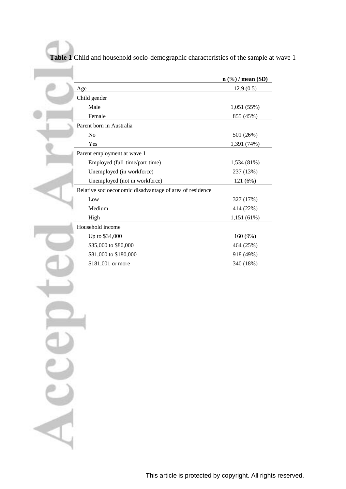| Table 1 Child and household socio-demographic characteristics of the sample at wave 1 |  |
|---------------------------------------------------------------------------------------|--|
|---------------------------------------------------------------------------------------|--|

|     |                                                          | $n$ (%) / mean (SD) |
|-----|----------------------------------------------------------|---------------------|
| Age |                                                          | 12.9(0.5)           |
|     | Child gender                                             |                     |
|     | Male                                                     | 1,051(55%)          |
|     | Female                                                   | 855 (45%)           |
|     | Parent born in Australia                                 |                     |
|     | N <sub>0</sub>                                           | 501 (26%)           |
|     | Yes                                                      | 1,391 (74%)         |
|     | Parent employment at wave 1                              |                     |
|     | Employed (full-time/part-time)                           | 1,534 (81%)         |
|     | Unemployed (in workforce)                                | 237 (13%)           |
|     | Unemployed (not in workforce)                            | 121 (6%)            |
|     | Relative socioeconomic disadvantage of area of residence |                     |
|     | Low                                                      | 327 (17%)           |
|     | Medium                                                   | 414 (22%)           |
|     | High                                                     | 1,151(61%)          |
|     | Household income                                         |                     |
|     | Up to \$34,000                                           | 160 (9%)            |
|     | \$35,000 to \$80,000                                     | 464 (25%)           |
|     | \$81,000 to \$180,000                                    | 918 (49%)           |
|     | \$181,001 or more                                        | 340 (18%)           |

Acc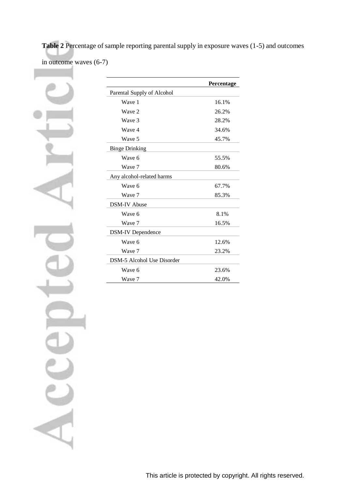**Table 2** Percentage of sample reporting parental supply in exposure waves (1-5) and outcomes in outcome waves (6-7)

| ļ       |        |   |  |
|---------|--------|---|--|
|         |        |   |  |
|         | ì<br>ĺ |   |  |
| 鄠       |        |   |  |
|         |        |   |  |
|         |        | ħ |  |
|         |        |   |  |
|         | į      |   |  |
|         | ļ.     |   |  |
|         |        |   |  |
|         |        |   |  |
| U,<br>k |        |   |  |
|         |        | Ì |  |

<u> Tanzania (</u>

|                            | Percentage |
|----------------------------|------------|
| Parental Supply of Alcohol |            |
| Wave 1                     | 16.1%      |
| Wave 2                     | 26.2%      |
| Wave 3                     | 28.2%      |
| Wave 4                     | 34.6%      |
| Wave 5                     | 45.7%      |
| <b>Binge Drinking</b>      |            |
| Wave 6                     | 55.5%      |
| Wave 7                     | 80.6%      |
| Any alcohol-related harms  |            |
| Wave 6                     | 67.7%      |
| Wave 7                     | 85.3%      |
| <b>DSM-IV Abuse</b>        |            |
| Wave 6                     | 8.1%       |
| Wave 7                     | 16.5%      |
| <b>DSM-IV Dependence</b>   |            |
| Wave 6                     | 12.6%      |
| Wave 7                     | 23.2%      |
| DSM-5 Alcohol Use Disorder |            |
| Wave 6                     | 23.6%      |
| Wave 7                     | 42.0%      |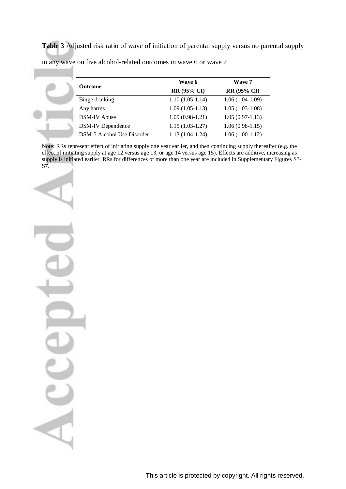**Table 3** Adjusted risk ratio of wave of initiation of parental supply versus no parental supply in any wave on five alcohol-related outcomes in wave 6 or wave 7

| <b>Outcome</b>             | Wave 6            | Wave 7             |
|----------------------------|-------------------|--------------------|
|                            | RR (95% CI)       | <b>RR</b> (95% CI) |
| Binge drinking             | $1.10(1.05-1.14)$ | $1.06(1.04-1.09)$  |
| Any harms                  | $1.09(1.05-1.13)$ | $1.05(1.03-1.08)$  |
| <b>DSM-IV Abuse</b>        | $1.09(0.98-1.21)$ | $1.05(0.97-1.13)$  |
| <b>DSM-IV Dependence</b>   | $1.15(1.03-1.27)$ | $1.06(0.98-1.15)$  |
| DSM-5 Alcohol Use Disorder | $1.13(1.04-1.24)$ | $1.06(1.00-1.12)$  |
|                            |                   |                    |

Note: RRs represent effect of initiating supply one year earlier, and then continuing supply thereafter (e.g. the effect of initiating supply at age 12 versus age 13, or age 14 versus age 15). Effects are additive, increasing as supply is initiated earlier. RRs for differences of more than one year are included in Supplementary Figures S3-S7.

This article is protected by copyright. All rights reserved.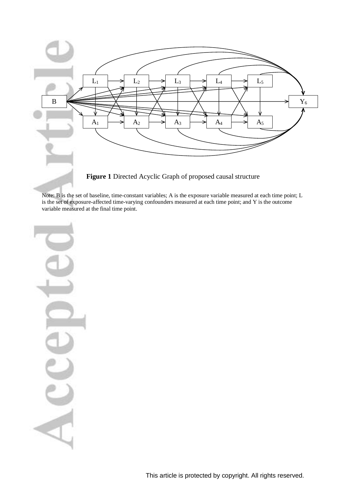

Note: B is the set of baseline, time-constant variables; A is the exposure variable measured at each time point; L is the set of exposure-affected time-varying confounders measured at each time point; and Y is the outcome variable measured at the final time point.